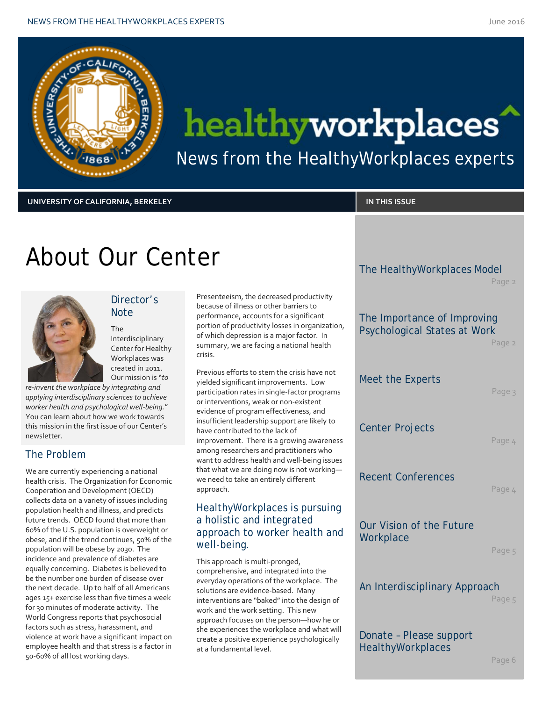

# healthyworkplaces

News from the HealthyWorkplaces experts

#### **UNIVERSITY OF CALIFORNIA, BERKELEY IN THIS ISSUE**

### About Our Center



### Director's **Note**

The Interdisciplinary Center for Healthy Workplaces was created in 2011. Our mission is "*to* 

*re-invent the workplace by integrating and applying interdisciplinary sciences to achieve worker health and psychological well-being.*" You can learn about how we work towards this mission in the first issue of our Center's newsletter.

### The Problem

We are currently experiencing a national health crisis. The Organization for Economic Cooperation and Development (OECD) collects data on a variety of issues including population health and illness, and predicts future trends. OECD found that more than 60% of the U.S. population is overweight or obese, and if the trend continues, 50% of the population will be obese by 2030. The incidence and prevalence of diabetes are equally concerning. Diabetes is believed to be the number one burden of disease over the next decade. Up to half of all Americans ages 15+ exercise less than five times a week for 30 minutes of moderate activity. The World Congress reports that psychosocial factors such as stress, harassment, and violence at work have a significant impact on employee health and that stress is a factor in 50-60% of all lost working days.

Presenteeism, the decreased productivity because of illness or other barriers to performance, accounts for a significant portion of productivity losses in organization, of which depression is a major factor. In summary, we are facing a national health crisis.

Previous efforts to stem the crisis have not yielded significant improvements. Low participation rates in single-factor programs or interventions, weak or non-existent evidence of program effectiveness, and insufficient leadership support are likely to have contributed to the lack of improvement. There is a growing awareness among researchers and practitioners who want to address health and well-being issues that what we are doing now is not working we need to take an entirely different approach.

### HealthyWorkplaces is pursuing a holistic and integrated approach to worker health and well-being.

This approach is multi-pronged, comprehensive, and integrated into the everyday operations of the workplace. The solutions are evidence-based. Many interventions are "baked" into the design of work and the work setting. This new approach focuses on the person—how he or she experiences the workplace and what will create a positive experience psychologically at a fundamental level.

The HealthyWorkplaces Model

Page 2

### The Importance of Improving Psychological States at Work

Page 2

#### Meet the Experts

Page 3

### Center Projects

Page 4

### Recent Conferences

Page 4

### Our Vision of the Future **Workplace**

Page 5

#### An Interdisciplinary Approach

Page 5

### Donate – Please support **HealthyWorkplaces**

Page 6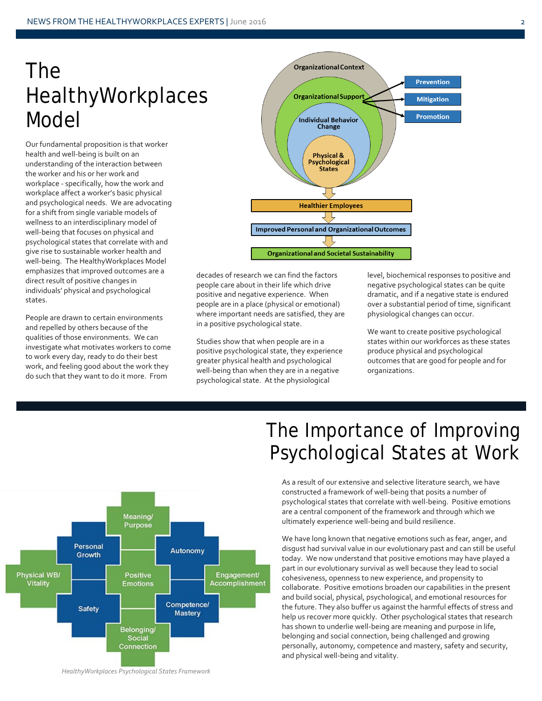### The HealthyWorkplaces Model

Our fundamental proposition is that worker health and well-being is built on an understanding of the interaction between the worker and his or her work and workplace - specifically, how the work and workplace affect a worker's basic physical and psychological needs. We are advocating for a shift from single variable models of wellness to an interdisciplinary model of well-being that focuses on physical and psychological states that correlate with and give rise to sustainable worker health and well-being. The HealthyWorkplaces Model emphasizes that improved outcomes are a direct result of positive changes in individuals' physical and psychological states.

People are drawn to certain environments and repelled by others because of the qualities of those environments. We can investigate what motivates workers to come to work every day, ready to do their best work, and feeling good about the work they do such that they want to do it more. From



decades of research we can find the factors people care about in their life which drive positive and negative experience. When people are in a place (physical or emotional) where important needs are satisfied, they are in a positive psychological state.

Studies show that when people are in a positive psychological state, they experience greater physical health and psychological well-being than when they are in a negative psychological state. At the physiological

level, biochemical responses to positive and negative psychological states can be quite dramatic, and if a negative state is endured over a substantial period of time, significant physiological changes can occur.

We want to create positive psychological states within our workforces as these states produce physical and psychological outcomes that are good for people and for organizations.



### The Importance of Improving Psychological States at Work

As a result of our extensive and selective literature search, we have constructed a framework of well-being that posits a number of psychological states that correlate with well-being. Positive emotions are a central component of the framework and through which we ultimately experience well-being and build resilience.

We have long known that negative emotions such as fear, anger, and disgust had survival value in our evolutionary past and can still be useful today. We now understand that positive emotions may have played a part in our evolutionary survival as well because they lead to social cohesiveness, openness to new experience, and propensity to collaborate. Positive emotions broaden our capabilities in the present and build social, physical, psychological, and emotional resources for the future. They also buffer us against the harmful effects of stress and help us recover more quickly. Other psychological states that research has shown to underlie well-being are meaning and purpose in life, belonging and social connection, being challenged and growing personally, autonomy, competence and mastery, safety and security, and physical well-being and vitality.

*HealthyWorkplaces Psychological States Framework*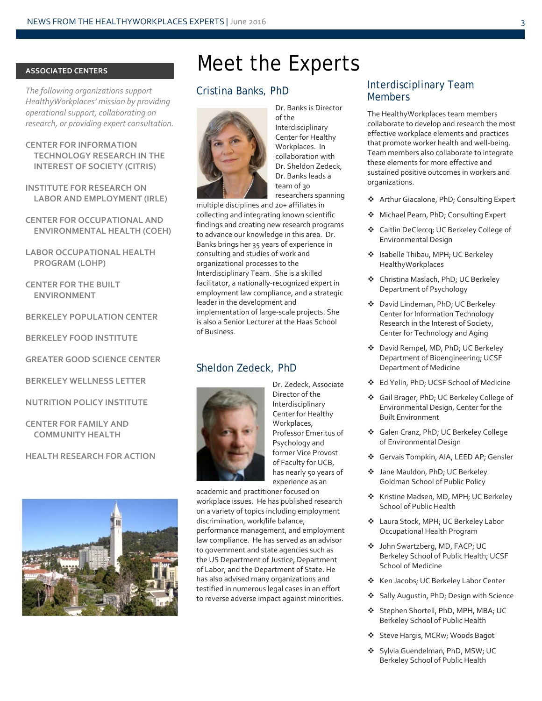#### **ASSOCIATED CENTERS**

*The following organizations support HealthyWorkplaces' mission by providing operational support, collaborating on research, or providing expert consultation.*

**CENTER FOR INFORMATION TECHNOLOGY RESEARCH IN THE INTEREST OF SOCIETY (CITRIS)**

**INSTITUTE FOR RESEARCH ON LABOR AND EMPLOYMENT (IRLE)**

**CENTER FOR OCCUPATIONAL AND ENVIRONMENTAL HEALTH (COEH)**

**LABOR OCCUPATIONAL HEALTH PROGRAM (LOHP)**

**CENTER FOR THE BUILT ENVIRONMENT**

**BERKELEY POPULATION CENTER**

**BERKELEY FOOD INSTITUTE**

**GREATER GOOD SCIENCE CENTER**

**BERKELEY WELLNESS LETTER**

**NUTRITION POLICY INSTITUTE**

**CENTER FOR FAMILY AND COMMUNITY HEALTH**

**HEALTH RESEARCH FOR ACTION**



### Meet the Experts

#### Cristina Banks, PhD



Dr. Banks is Director of the Interdisciplinary Center for Healthy Workplaces. In collaboration with Dr. Sheldon Zedeck, Dr. Banks leads a team of 30 researchers spanning

multiple disciplines and 20+ affiliates in collecting and integrating known scientific findings and creating new research programs to advance our knowledge in this area. Dr. Banks brings her 35 years of experience in consulting and studies of work and organizational processes to the Interdisciplinary Team. She is a skilled facilitator, a nationally-recognized expert in employment law compliance, and a strategic leader in the development and implementation of large-scale projects. She is also a Senior Lecturer at the Haas School of Business.

#### Sheldon Zedeck, PhD



Dr. Zedeck, Associate Director of the Interdisciplinary Center for Healthy Workplaces, Professor Emeritus of Psychology and former Vice Provost of Faculty for UCB, has nearly 50 years of experience as an

academic and practitioner focused on workplace issues. He has published research on a variety of topics including employment discrimination, work/life balance, performance management, and employment law compliance. He has served as an advisor to government and state agencies such as the US Department of Justice, Department of Labor, and the Department of State. He has also advised many organizations and testified in numerous legal cases in an effort to reverse adverse impact against minorities.

### Interdisciplinary Team Members

The HealthyWorkplaces team members collaborate to develop and research the most effective workplace elements and practices that promote worker health and well-being. Team members also collaborate to integrate these elements for more effective and sustained positive outcomes in workers and organizations.

- ◆ Arthur Giacalone, PhD; Consulting Expert
- ◆ Michael Pearn, PhD; Consulting Expert
- Caitlin DeClercq; UC Berkeley College of Environmental Design
- ❖ Isabelle Thibau, MPH; UC Berkeley HealthyWorkplaces
- Christina Maslach, PhD; UC Berkeley Department of Psychology
- David Lindeman, PhD; UC Berkeley Center for Information Technology Research in the Interest of Society, Center for Technology and Aging
- ◆ David Rempel, MD, PhD; UC Berkeley Department of Bioengineering; UCSF Department of Medicine
- Ed Yelin, PhD; UCSF School of Medicine
- Gail Brager, PhD; UC Berkeley College of Environmental Design, Center for the Built Environment
- Galen Cranz, PhD; UC Berkeley College of Environmental Design
- Gervais Tompkin, AIA, LEED AP; Gensler
- Jane Mauldon, PhD; UC Berkeley Goldman School of Public Policy
- **❖** Kristine Madsen, MD, MPH; UC Berkeley School of Public Health
- Laura Stock, MPH; UC Berkeley Labor Occupational Health Program
- John Swartzberg, MD, FACP; UC Berkeley School of Public Health; UCSF School of Medicine
- ❖ Ken Jacobs; UC Berkeley Labor Center
- ◆ Sally Augustin, PhD; Design with Science
- Stephen Shortell, PhD, MPH, MBA; UC Berkeley School of Public Health
- Steve Hargis, MCRw; Woods Bagot
- ❖ Sylvia Guendelman, PhD, MSW; UC Berkeley School of Public Health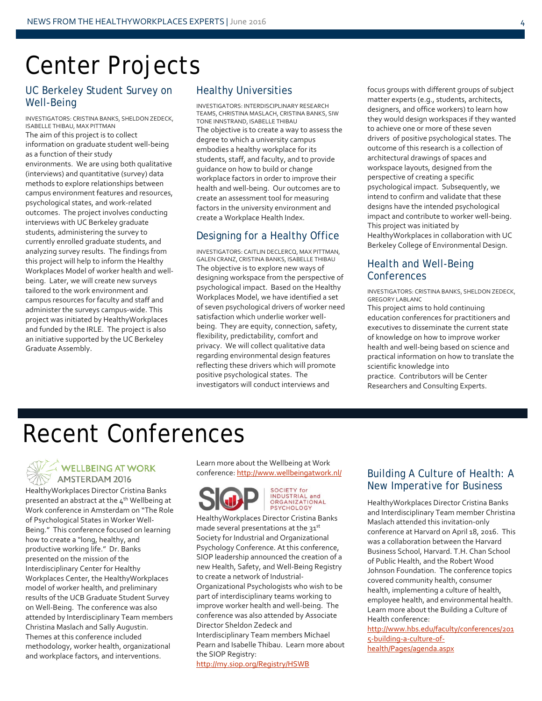### Center Projects

### UC Berkeley Student Survey on Well-Being

INVESTIGATORS: CRISTINA BANKS, SHELDON ZEDECK, ISABELLE THIBAU, MAX PITTMAN The aim of this project is to collect information on graduate student well-being as a function of their study environments. We are using both qualitative (interviews) and quantitative (survey) data methods to explore relationships between campus environment features and resources, psychological states, and work-related outcomes. The project involves conducting interviews with UC Berkeley graduate students, administering the survey to currently enrolled graduate students, and analyzing survey results. The findings from this project will help to inform the Healthy Workplaces Model of worker health and wellbeing. Later, we will create new surveys tailored to the work environment and campus resources for faculty and staff and administer the surveys campus-wide. This project was initiated by HealthyWorkplaces and funded by the IRLE. The project is also an initiative supported by the UC Berkeley Graduate Assembly.

### Healthy Universities

INVESTIGATORS: INTERDISCIPLINARY RESEARCH TEAMS, CHRISTINA MASLACH, CRISTINA BANKS, SIW TONE INNSTRAND, ISABELLE THIBAU The objective is to create a way to assess the degree to which a university campus embodies a healthy workplace for its students, staff, and faculty, and to provide guidance on how to build or change workplace factors in order to improve their health and well-being. Our outcomes are to create an assessment tool for measuring factors in the university environment and create a Workplace Health Index.

### Designing for a Healthy Office

INVESTIGATORS: CAITLIN DECLERCQ, MAX PITTMAN, GALEN CRANZ, CRISTINA BANKS, ISABELLE THIBAU The objective is to explore new ways of designing workspace from the perspective of psychological impact. Based on the Healthy Workplaces Model, we have identified a set of seven psychological drivers of worker need satisfaction which underlie worker wellbeing. They are equity, connection, safety, flexibility, predictability, comfort and privacy. We will collect qualitative data regarding environmental design features reflecting these drivers which will promote positive psychological states. The investigators will conduct interviews and

focus groups with different groups of subject matter experts (e.g., students, architects, designers, and office workers) to learn how they would design workspaces if they wanted to achieve one or more of these seven drivers of positive psychological states. The outcome of this research is a collection of architectural drawings of spaces and workspace layouts, designed from the perspective of creating a specific psychological impact. Subsequently, we intend to confirm and validate that these designs have the intended psychological impact and contribute to worker well-being. This project was initiated by HealthyWorkplaces in collaboration with UC Berkeley College of Environmental Design.

### Health and Well-Being **Conferences**

INVESTIGATORS: CRISTINA BANKS, SHELDON ZEDECK, GREGORY LABLANC

This project aims to hold continuing education conferences for practitioners and executives to disseminate the current state of knowledge on how to improve worker health and well-being based on science and practical information on how to translate the scientific knowledge into practice. Contributors will be Center Researchers and Consulting Experts.

### Recent Conferences

### WELLBEING AT WORK AMSTERDAM 2016

HealthyWorkplaces Director Cristina Banks presented an abstract at the  $4^{th}$  Wellbeing at Work conference in Amsterdam on "The Role of Psychological States in Worker Well-Being." This conference focused on learning how to create a "long, healthy, and productive working life." Dr. Banks presented on the mission of the Interdisciplinary Center for Healthy Workplaces Center, the HealthyWorkplaces model of worker health, and preliminary results of the UCB Graduate Student Survey on Well-Being. The conference was also attended by Interdisciplinary Team members Christina Maslach and Sally Augustin. Themes at this conference included methodology, worker health, organizational and workplace factors, and interventions.

Learn more about the Wellbeing at Work conference[: http://www.wellbeingatwork.nl/](http://www.wellbeingatwork.nl/)





HealthyWorkplaces Director Cristina Banks made several presentations at the 31st Society for Industrial and Organizational Psychology Conference. At this conference, SIOP leadership announced the creation of a new Health, Safety, and Well-Being Registry to create a network of Industrial-Organizational Psychologists who wish to be part of interdisciplinary teams working to improve worker health and well-being. The conference was also attended by Associate Director Sheldon Zedeck and Interdisciplinary Team members Michael Pearn and Isabelle Thibau. Learn more about the SIOP Registry:

#### <http://my.siop.org/Registry/HSWB>

### Building A Culture of Health: A New Imperative for Business

HealthyWorkplaces Director Cristina Banks and Interdisciplinary Team member Christina Maslach attended this invitation-only conference at Harvard on April 18, 2016. This was a collaboration between the Harvard Business School, Harvard. T.H. Chan School of Public Health, and the Robert Wood Johnson Foundation. The conference topics covered community health, consumer health, implementing a culture of health, employee health, and environmental health. Learn more about the Building a Culture of Health conference:

[http://www.hbs.edu/faculty/conferences/201](http://www.hbs.edu/faculty/conferences/2015-building-a-culture-of-health/Pages/agenda.aspx) [5-building-a-culture-of](http://www.hbs.edu/faculty/conferences/2015-building-a-culture-of-health/Pages/agenda.aspx)[health/Pages/agenda.aspx](http://www.hbs.edu/faculty/conferences/2015-building-a-culture-of-health/Pages/agenda.aspx)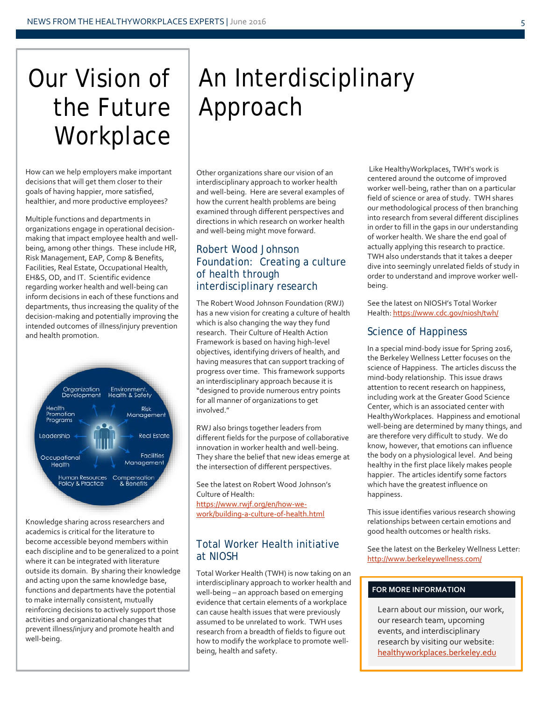# Our Vision of the Future **Workplace**

How can we help employers make important decisions that will get them closer to their goals of having happier, more satisfied, healthier, and more productive employees?

Multiple functions and departments in organizations engage in operational decisionmaking that impact employee health and wellbeing, among other things. These include HR, Risk Management, EAP, Comp & Benefits, Facilities, Real Estate, Occupational Health, EH&S, OD, and IT. Scientific evidence regarding worker health and well-being can inform decisions in each of these functions and departments, thus increasing the quality of the decision-making and potentially improving the intended outcomes of illness/injury prevention and health promotion.



Knowledge sharing across researchers and academics is critical for the literature to become accessible beyond members within each discipline and to be generalized to a point where it can be integrated with literature outside its domain. By sharing their knowledge and acting upon the same knowledge base, functions and departments have the potential to make internally consistent, mutually reinforcing decisions to actively support those activities and organizational changes that prevent illness/injury and promote health and well-being.

# An Interdisciplinary Approach

Other organizations share our vision of an interdisciplinary approach to worker health and well-being. Here are several examples of how the current health problems are being examined through different perspectives and directions in which research on worker health and well-being might move forward.

### Robert Wood Johnson Foundation: Creating a culture of health through interdisciplinary research

The Robert Wood Johnson Foundation (RWJ) has a new vision for creating a culture of health which is also changing the way they fund research. Their Culture of Health Action Framework is based on having high-level objectives, identifying drivers of health, and having measures that can support tracking of progress over time. This framework supports an interdisciplinary approach because it is "designed to provide numerous entry points for all manner of organizations to get involved."

RWJ also brings together leaders from different fields for the purpose of collaborative innovation in worker health and well-being. They share the belief that new ideas emerge at the intersection of different perspectives.

See the latest on Robert Wood Johnson's Culture of Health: [https://www.rwjf.org/en/how-we](https://www.rwjf.org/en/how-we-work/building-a-culture-of-health.html)[work/building-a-culture-of-health.html](https://www.rwjf.org/en/how-we-work/building-a-culture-of-health.html) 

### Total Worker Health initiative at NIOSH

Total Worker Health (TWH) is now taking on an interdisciplinary approach to worker health and well-being – an approach based on emerging evidence that certain elements of a workplace can cause health issues that were previously assumed to be unrelated to work. TWH uses research from a breadth of fields to figure out how to modify the workplace to promote wellbeing, health and safety.

Like HealthyWorkplaces, TWH's work is centered around the outcome of improved worker well-being, rather than on a particular field of science or area of study. TWH shares our methodological process of then branching into research from several different disciplines in order to fill in the gaps in our understanding of worker health. We share the end goal of actually applying this research to practice. TWH also understands that it takes a deeper dive into seemingly unrelated fields of study in order to understand and improve worker wellbeing.

See the latest on NIOSH's Total Worker Health[: https://www.cdc.gov/niosh/twh/](https://www.cdc.gov/niosh/twh/)

### Science of Happiness

In a special mind-body issue for Spring 2016, the Berkeley Wellness Letter focuses on the science of Happiness. The articles discuss the mind-body relationship. This issue draws attention to recent research on happiness, including work at the Greater Good Science Center, which is an associated center with HealthyWorkplaces. Happiness and emotional well-being are determined by many things, and are therefore very difficult to study. We do know, however, that emotions can influence the body on a physiological level. And being healthy in the first place likely makes people happier. The articles identify some factors which have the greatest influence on happiness.

This issue identifies various research showing relationships between certain emotions and good health outcomes or health risks.

See the latest on the Berkeley Wellness Letter: <http://www.berkeleywellness.com/>

### **FOR MORE INFORMATION**

Learn about our mission, our work, our research team, upcoming events, and interdisciplinary research by visiting our website: healthyworkplaces.berkeley.edu